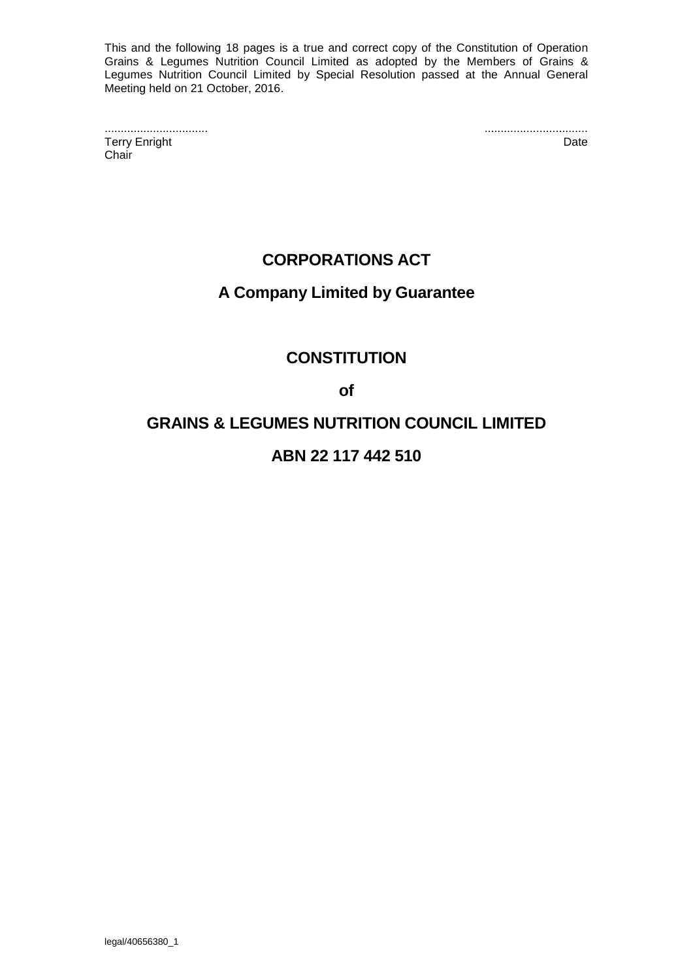This and the following 18 pages is a true and correct copy of the Constitution of Operation Grains & Legumes Nutrition Council Limited as adopted by the Members of Grains & Legumes Nutrition Council Limited by Special Resolution passed at the Annual General Meeting held on 21 October, 2016.

................................ ................................ **Terry Enright Chair** 

# **CORPORATIONS ACT**

# **A Company Limited by Guarantee**

# **CONSTITUTION**

**of**

# **GRAINS & LEGUMES NUTRITION COUNCIL LIMITED**

# **ABN 22 117 442 510**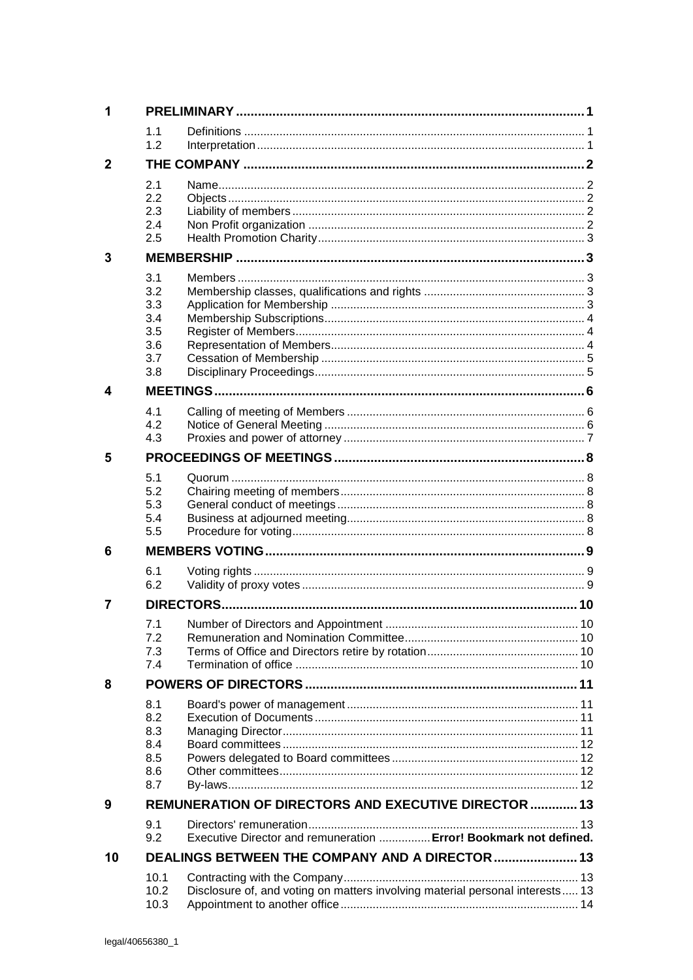| 1            |                   |                                                                               |  |  |
|--------------|-------------------|-------------------------------------------------------------------------------|--|--|
|              | 1.1<br>1.2        |                                                                               |  |  |
| $\mathbf{2}$ |                   |                                                                               |  |  |
|              | 2.1<br>2.2<br>2.3 |                                                                               |  |  |
|              | 2.4<br>2.5        |                                                                               |  |  |
| 3            |                   |                                                                               |  |  |
|              |                   |                                                                               |  |  |
|              | 3.1<br>3.2<br>3.3 |                                                                               |  |  |
|              | 3.4               |                                                                               |  |  |
|              | 3.5<br>3.6        |                                                                               |  |  |
|              | 3.7               |                                                                               |  |  |
|              | 3.8               |                                                                               |  |  |
| 4            |                   |                                                                               |  |  |
|              | 4.1               |                                                                               |  |  |
|              | 4.2               |                                                                               |  |  |
|              | 4.3               |                                                                               |  |  |
| 5            |                   |                                                                               |  |  |
|              | 5.1               |                                                                               |  |  |
|              | 5.2               |                                                                               |  |  |
|              | 5.3<br>5.4        |                                                                               |  |  |
|              | 5.5               |                                                                               |  |  |
| 6            |                   |                                                                               |  |  |
|              | 6.1               |                                                                               |  |  |
|              | 6.2               |                                                                               |  |  |
| 7            |                   |                                                                               |  |  |
|              | 7.1               |                                                                               |  |  |
|              | 7.2               |                                                                               |  |  |
|              | 7.3<br>7.4        |                                                                               |  |  |
| 8            |                   |                                                                               |  |  |
|              | 8.1               |                                                                               |  |  |
|              | 8.2               |                                                                               |  |  |
|              | 8.3               |                                                                               |  |  |
|              | 8.4               |                                                                               |  |  |
|              | 8.5<br>8.6        |                                                                               |  |  |
|              | 8.7               |                                                                               |  |  |
| 9            |                   | REMUNERATION OF DIRECTORS AND EXECUTIVE DIRECTOR  13                          |  |  |
|              | 9.1<br>9.2        | Executive Director and remuneration  Error! Bookmark not defined.             |  |  |
| 10           |                   | DEALINGS BETWEEN THE COMPANY AND A DIRECTOR  13                               |  |  |
|              | 10.1              |                                                                               |  |  |
|              | 10.2<br>10.3      | Disclosure of, and voting on matters involving material personal interests 13 |  |  |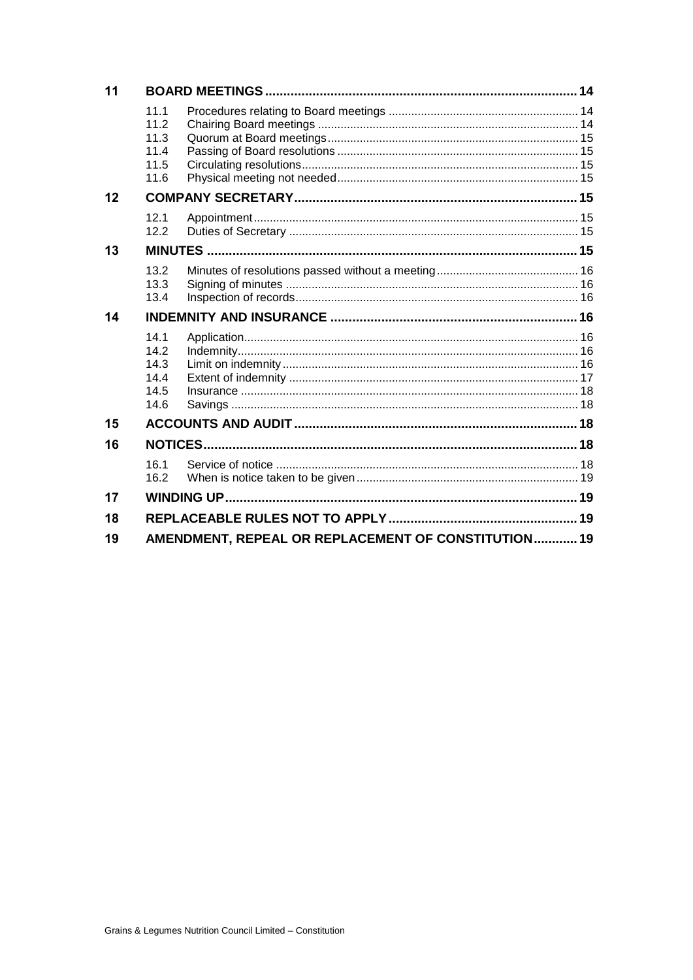| 11 |                                              |                                                     |  |  |  |  |
|----|----------------------------------------------|-----------------------------------------------------|--|--|--|--|
|    | 11.1<br>11.2<br>11.3<br>11.4<br>11.5<br>11.6 |                                                     |  |  |  |  |
| 12 |                                              |                                                     |  |  |  |  |
|    | 12.1<br>12.2                                 |                                                     |  |  |  |  |
| 13 |                                              |                                                     |  |  |  |  |
|    | 13.2<br>13.3<br>13.4                         |                                                     |  |  |  |  |
| 14 |                                              |                                                     |  |  |  |  |
|    | 14.1<br>14.2<br>14.3<br>14.4<br>14.5<br>14.6 |                                                     |  |  |  |  |
| 15 |                                              |                                                     |  |  |  |  |
| 16 |                                              |                                                     |  |  |  |  |
|    | 16.1<br>16.2                                 |                                                     |  |  |  |  |
| 17 |                                              |                                                     |  |  |  |  |
| 18 |                                              |                                                     |  |  |  |  |
| 19 |                                              | AMENDMENT, REPEAL OR REPLACEMENT OF CONSTITUTION 19 |  |  |  |  |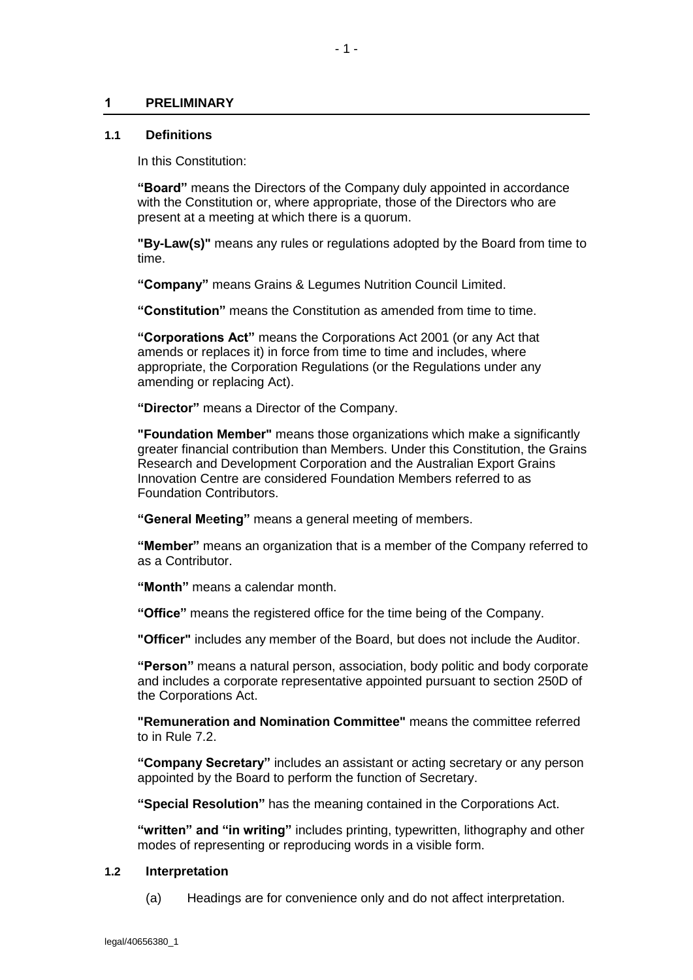### <span id="page-3-0"></span>**1 PRELIMINARY**

#### <span id="page-3-1"></span>**1.1 Definitions**

In this Constitution:

**"Board"** means the Directors of the Company duly appointed in accordance with the Constitution or, where appropriate, those of the Directors who are present at a meeting at which there is a quorum.

**"By-Law(s)"** means any rules or regulations adopted by the Board from time to time.

**"Company"** means Grains & Legumes Nutrition Council Limited.

**"Constitution"** means the Constitution as amended from time to time.

**"Corporations Act"** means the Corporations Act 2001 (or any Act that amends or replaces it) in force from time to time and includes, where appropriate, the Corporation Regulations (or the Regulations under any amending or replacing Act).

**"Director"** means a Director of the Company.

**"Foundation Member"** means those organizations which make a significantly greater financial contribution than Members. Under this Constitution, the Grains Research and Development Corporation and the Australian Export Grains Innovation Centre are considered Foundation Members referred to as Foundation Contributors.

**"General M**e**eting"** means a general meeting of members.

**"Member"** means an organization that is a member of the Company referred to as a Contributor.

**"Month"** means a calendar month.

**"Office"** means the registered office for the time being of the Company.

**"Officer"** includes any member of the Board, but does not include the Auditor.

**"Person"** means a natural person, association, body politic and body corporate and includes a corporate representative appointed pursuant to section 250D of the Corporations Act.

**"Remuneration and Nomination Committee"** means the committee referred to in Rule [7.2.](#page-12-2)

**"Company Secretary"** includes an assistant or acting secretary or any person appointed by the Board to perform the function of Secretary.

**"Special Resolution"** has the meaning contained in the Corporations Act.

**"written" and "in writing"** includes printing, typewritten, lithography and other modes of representing or reproducing words in a visible form.

#### <span id="page-3-2"></span>**1.2 Interpretation**

(a) Headings are for convenience only and do not affect interpretation.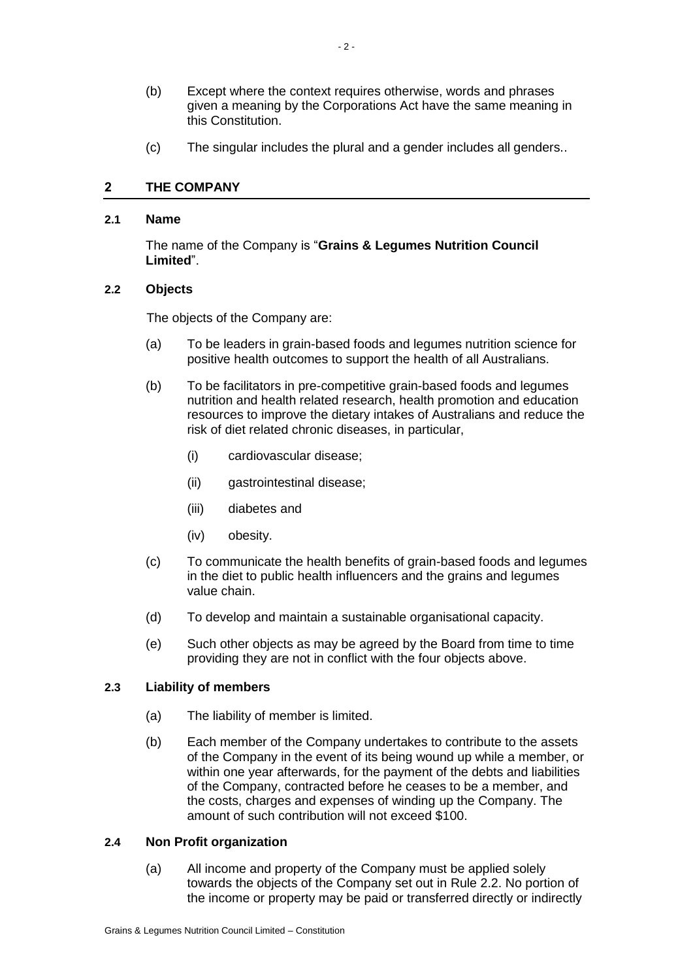- (b) Except where the context requires otherwise, words and phrases given a meaning by the Corporations Act have the same meaning in this Constitution.
- (c) The singular includes the plural and a gender includes all genders..

# <span id="page-4-0"></span>**2 THE COMPANY**

## <span id="page-4-1"></span>**2.1 Name**

The name of the Company is "**Grains & Legumes Nutrition Council Limited**".

# <span id="page-4-2"></span>**2.2 Objects**

The objects of the Company are:

- (a) To be leaders in grain-based foods and legumes nutrition science for positive health outcomes to support the health of all Australians.
- (b) To be facilitators in pre-competitive grain-based foods and legumes nutrition and health related research, health promotion and education resources to improve the dietary intakes of Australians and reduce the risk of diet related chronic diseases, in particular,
	- (i) cardiovascular disease;
	- (ii) gastrointestinal disease;
	- (iii) diabetes and
	- (iv) obesity.
- (c) To communicate the health benefits of grain-based foods and legumes in the diet to public health influencers and the grains and legumes value chain.
- (d) To develop and maintain a sustainable organisational capacity.
- (e) Such other objects as may be agreed by the Board from time to time providing they are not in conflict with the four objects above.

# <span id="page-4-3"></span>**2.3 Liability of members**

- (a) The liability of member is limited.
- (b) Each member of the Company undertakes to contribute to the assets of the Company in the event of its being wound up while a member, or within one year afterwards, for the payment of the debts and liabilities of the Company, contracted before he ceases to be a member, and the costs, charges and expenses of winding up the Company. The amount of such contribution will not exceed \$100.

## <span id="page-4-5"></span><span id="page-4-4"></span>**2.4 Non Profit organization**

(a) All income and property of the Company must be applied solely towards the objects of the Company set out in Rule [2.2.](#page-4-2) No portion of the income or property may be paid or transferred directly or indirectly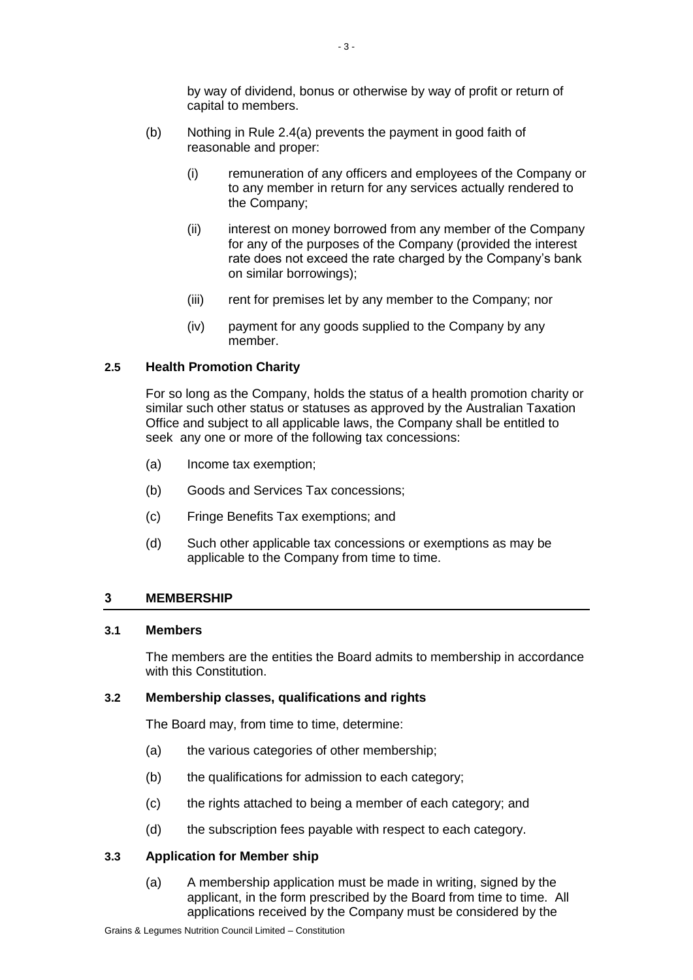by way of dividend, bonus or otherwise by way of profit or return of capital to members.

- (b) Nothing in Rule [2.4\(a\)](#page-4-5) prevents the payment in good faith of reasonable and proper:
	- (i) remuneration of any officers and employees of the Company or to any member in return for any services actually rendered to the Company;
	- (ii) interest on money borrowed from any member of the Company for any of the purposes of the Company (provided the interest rate does not exceed the rate charged by the Company's bank on similar borrowings);
	- (iii) rent for premises let by any member to the Company; nor
	- (iv) payment for any goods supplied to the Company by any member.

## <span id="page-5-0"></span>**2.5 Health Promotion Charity**

For so long as the Company, holds the status of a health promotion charity or similar such other status or statuses as approved by the Australian Taxation Office and subject to all applicable laws, the Company shall be entitled to seek any one or more of the following tax concessions:

- (a) Income tax exemption;
- (b) Goods and Services Tax concessions;
- (c) Fringe Benefits Tax exemptions; and
- (d) Such other applicable tax concessions or exemptions as may be applicable to the Company from time to time.

## <span id="page-5-1"></span>**3 MEMBERSHIP**

## <span id="page-5-2"></span>**3.1 Members**

The members are the entities the Board admits to membership in accordance with this Constitution.

## <span id="page-5-3"></span>**3.2 Membership classes, qualifications and rights**

The Board may, from time to time, determine:

- (a) the various categories of other membership;
- (b) the qualifications for admission to each category;
- (c) the rights attached to being a member of each category; and
- (d) the subscription fees payable with respect to each category.

## <span id="page-5-4"></span>**3.3 Application for Member ship**

(a) A membership application must be made in writing, signed by the applicant, in the form prescribed by the Board from time to time. All applications received by the Company must be considered by the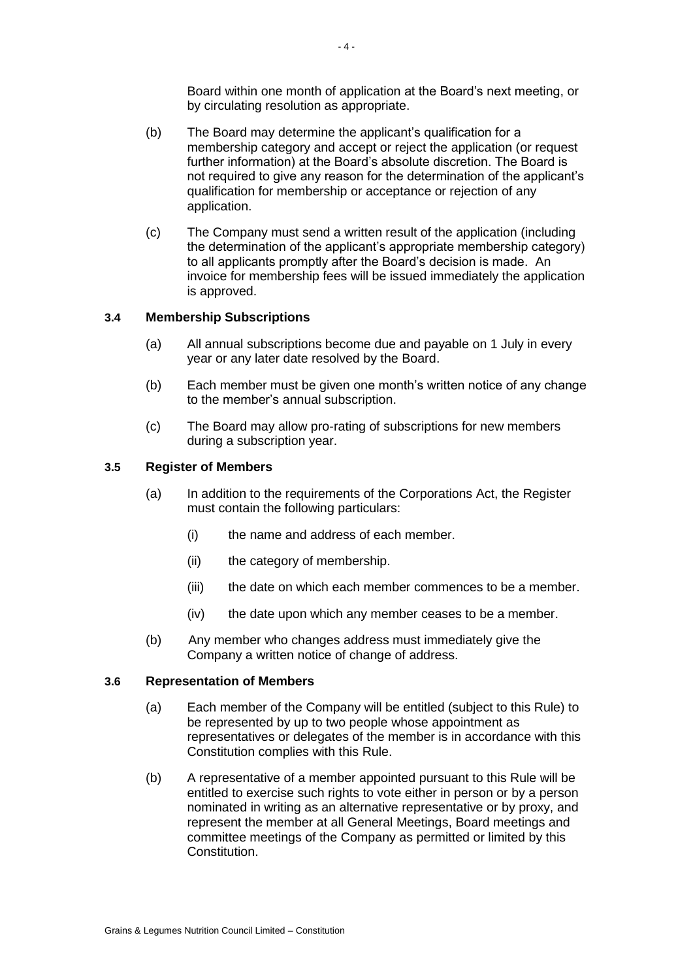Board within one month of application at the Board's next meeting, or by circulating resolution as appropriate.

- (b) The Board may determine the applicant's qualification for a membership category and accept or reject the application (or request further information) at the Board's absolute discretion. The Board is not required to give any reason for the determination of the applicant's qualification for membership or acceptance or rejection of any application.
- (c) The Company must send a written result of the application (including the determination of the applicant's appropriate membership category) to all applicants promptly after the Board's decision is made. An invoice for membership fees will be issued immediately the application is approved.

# <span id="page-6-0"></span>**3.4 Membership Subscriptions**

- (a) All annual subscriptions become due and payable on 1 July in every year or any later date resolved by the Board.
- (b) Each member must be given one month's written notice of any change to the member's annual subscription.
- (c) The Board may allow pro-rating of subscriptions for new members during a subscription year.

## <span id="page-6-1"></span>**3.5 Register of Members**

- (a) In addition to the requirements of the Corporations Act, the Register must contain the following particulars:
	- (i) the name and address of each member.
	- (ii) the category of membership.
	- (iii) the date on which each member commences to be a member.
	- (iv) the date upon which any member ceases to be a member.
- (b) Any member who changes address must immediately give the Company a written notice of change of address.

## <span id="page-6-2"></span>**3.6 Representation of Members**

- (a) Each member of the Company will be entitled (subject to this Rule) to be represented by up to two people whose appointment as representatives or delegates of the member is in accordance with this Constitution complies with this Rule.
- (b) A representative of a member appointed pursuant to this Rule will be entitled to exercise such rights to vote either in person or by a person nominated in writing as an alternative representative or by proxy, and represent the member at all General Meetings, Board meetings and committee meetings of the Company as permitted or limited by this Constitution.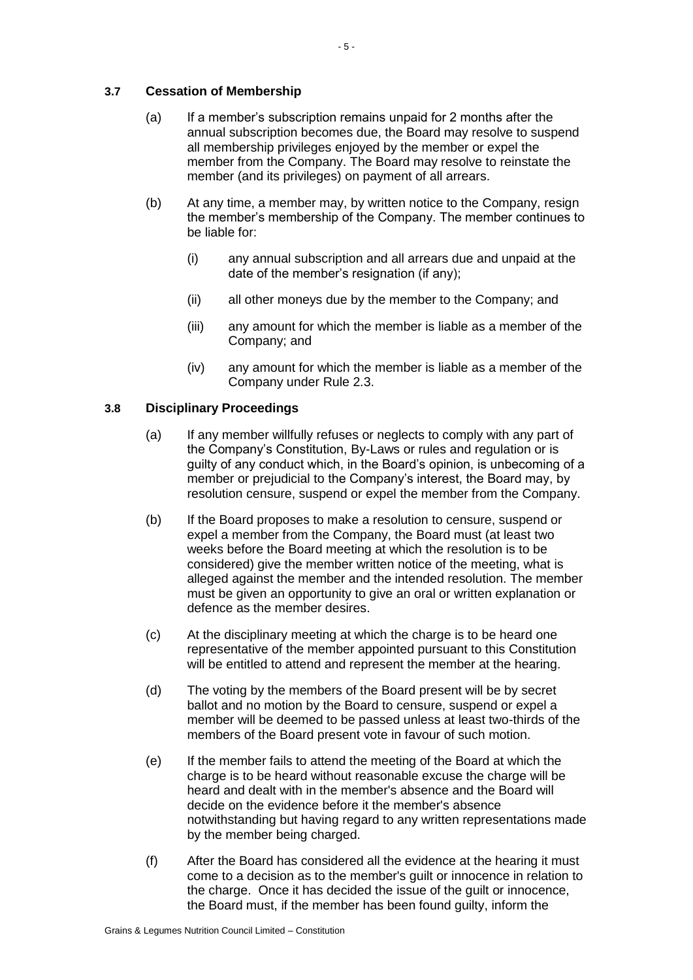# <span id="page-7-0"></span>**3.7 Cessation of Membership**

- (a) If a member's subscription remains unpaid for 2 months after the annual subscription becomes due, the Board may resolve to suspend all membership privileges enjoyed by the member or expel the member from the Company. The Board may resolve to reinstate the member (and its privileges) on payment of all arrears.
- (b) At any time, a member may, by written notice to the Company, resign the member's membership of the Company. The member continues to be liable for:
	- (i) any annual subscription and all arrears due and unpaid at the date of the member's resignation (if any);
	- (ii) all other moneys due by the member to the Company; and
	- (iii) any amount for which the member is liable as a member of the Company; and
	- (iv) any amount for which the member is liable as a member of the Company under Rule [2.3.](#page-4-3)

# <span id="page-7-1"></span>**3.8 Disciplinary Proceedings**

- (a) If any member willfully refuses or neglects to comply with any part of the Company's Constitution, By-Laws or rules and regulation or is guilty of any conduct which, in the Board's opinion, is unbecoming of a member or prejudicial to the Company's interest, the Board may, by resolution censure, suspend or expel the member from the Company.
- (b) If the Board proposes to make a resolution to censure, suspend or expel a member from the Company, the Board must (at least two weeks before the Board meeting at which the resolution is to be considered) give the member written notice of the meeting, what is alleged against the member and the intended resolution. The member must be given an opportunity to give an oral or written explanation or defence as the member desires.
- (c) At the disciplinary meeting at which the charge is to be heard one representative of the member appointed pursuant to this Constitution will be entitled to attend and represent the member at the hearing.
- (d) The voting by the members of the Board present will be by secret ballot and no motion by the Board to censure, suspend or expel a member will be deemed to be passed unless at least two-thirds of the members of the Board present vote in favour of such motion.
- (e) If the member fails to attend the meeting of the Board at which the charge is to be heard without reasonable excuse the charge will be heard and dealt with in the member's absence and the Board will decide on the evidence before it the member's absence notwithstanding but having regard to any written representations made by the member being charged.
- (f) After the Board has considered all the evidence at the hearing it must come to a decision as to the member's guilt or innocence in relation to the charge. Once it has decided the issue of the guilt or innocence, the Board must, if the member has been found guilty, inform the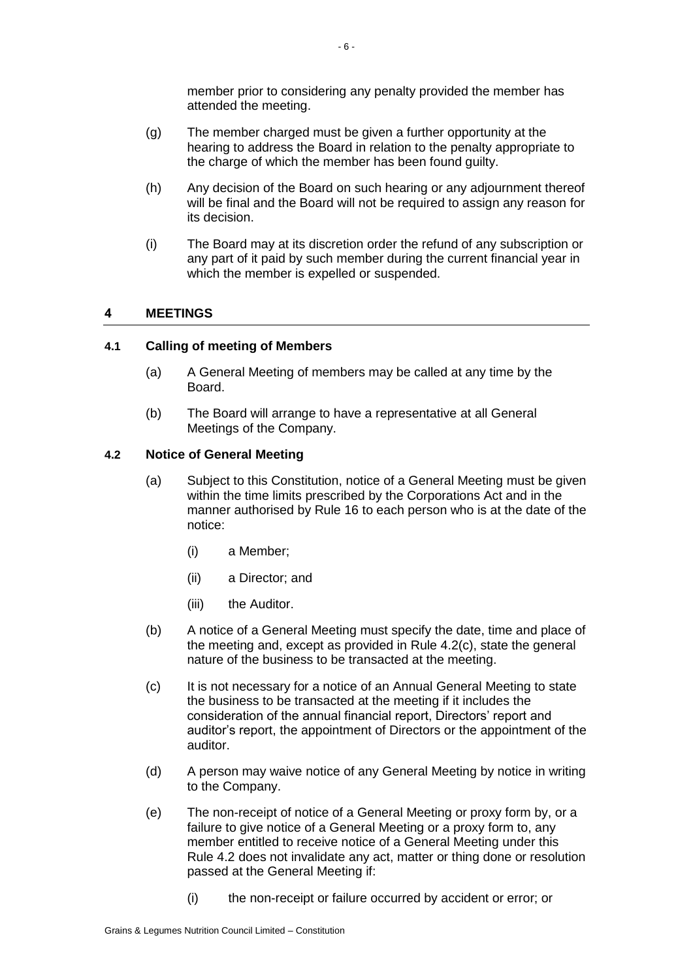member prior to considering any penalty provided the member has attended the meeting.

- (g) The member charged must be given a further opportunity at the hearing to address the Board in relation to the penalty appropriate to the charge of which the member has been found guilty.
- (h) Any decision of the Board on such hearing or any adjournment thereof will be final and the Board will not be required to assign any reason for its decision.
- (i) The Board may at its discretion order the refund of any subscription or any part of it paid by such member during the current financial year in which the member is expelled or suspended.

# <span id="page-8-0"></span>**4 MEETINGS**

## <span id="page-8-1"></span>**4.1 Calling of meeting of Members**

- (a) A General Meeting of members may be called at any time by the Board.
- (b) The Board will arrange to have a representative at all General Meetings of the Company.

## <span id="page-8-2"></span>**4.2 Notice of General Meeting**

- (a) Subject to this Constitution, notice of a General Meeting must be given within the time limits prescribed by the Corporations Act and in the manner authorised by Rule [16](#page-20-3) to each person who is at the date of the notice:
	- (i) a Member;
	- (ii) a Director; and
	- (iii) the Auditor.
- (b) A notice of a General Meeting must specify the date, time and place of the meeting and, except as provided in Rule [4.2\(c\),](#page-8-3) state the general nature of the business to be transacted at the meeting.
- <span id="page-8-3"></span>(c) It is not necessary for a notice of an Annual General Meeting to state the business to be transacted at the meeting if it includes the consideration of the annual financial report, Directors' report and auditor's report, the appointment of Directors or the appointment of the auditor.
- <span id="page-8-4"></span>(d) A person may waive notice of any General Meeting by notice in writing to the Company.
- (e) The non-receipt of notice of a General Meeting or proxy form by, or a failure to give notice of a General Meeting or a proxy form to, any member entitled to receive notice of a General Meeting under this Rule [4.2](#page-8-2) does not invalidate any act, matter or thing done or resolution passed at the General Meeting if:
	- (i) the non-receipt or failure occurred by accident or error; or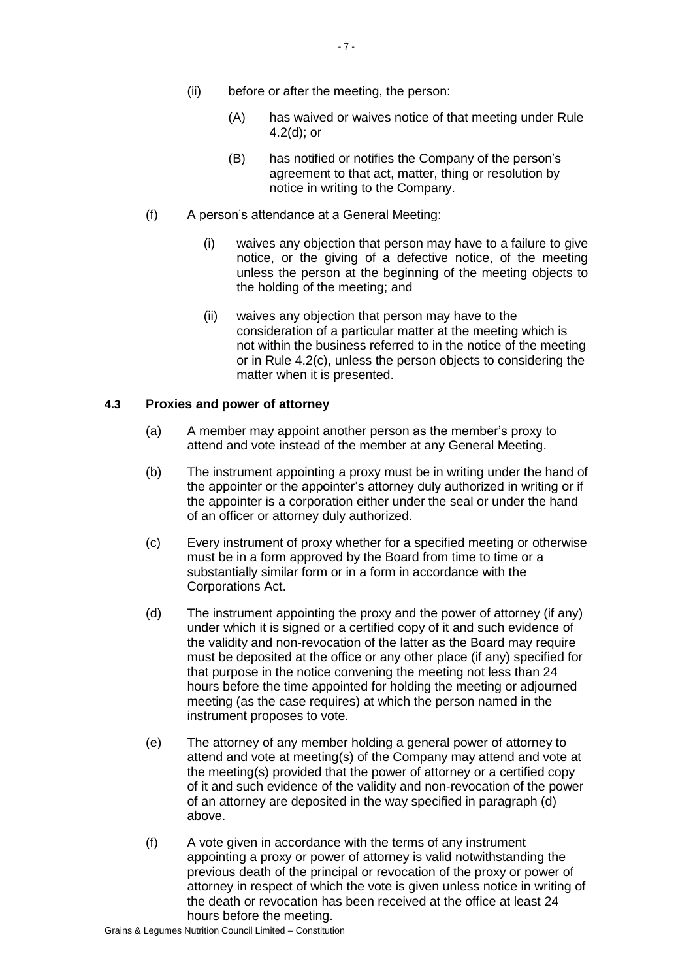- (A) has waived or waives notice of that meeting under Rule [4.2\(d\);](#page-8-4) or
- (B) has notified or notifies the Company of the person's agreement to that act, matter, thing or resolution by notice in writing to the Company.
- (f) A person's attendance at a General Meeting:
	- (i) waives any objection that person may have to a failure to give notice, or the giving of a defective notice, of the meeting unless the person at the beginning of the meeting objects to the holding of the meeting; and
	- (ii) waives any objection that person may have to the consideration of a particular matter at the meeting which is not within the business referred to in the notice of the meeting or in Rule [4.2\(c\),](#page-8-3) unless the person objects to considering the matter when it is presented.

# <span id="page-9-0"></span>**4.3 Proxies and power of attorney**

- (a) A member may appoint another person as the member's proxy to attend and vote instead of the member at any General Meeting.
- (b) The instrument appointing a proxy must be in writing under the hand of the appointer or the appointer's attorney duly authorized in writing or if the appointer is a corporation either under the seal or under the hand of an officer or attorney duly authorized.
- (c) Every instrument of proxy whether for a specified meeting or otherwise must be in a form approved by the Board from time to time or a substantially similar form or in a form in accordance with the Corporations Act.
- (d) The instrument appointing the proxy and the power of attorney (if any) under which it is signed or a certified copy of it and such evidence of the validity and non-revocation of the latter as the Board may require must be deposited at the office or any other place (if any) specified for that purpose in the notice convening the meeting not less than 24 hours before the time appointed for holding the meeting or adjourned meeting (as the case requires) at which the person named in the instrument proposes to vote.
- (e) The attorney of any member holding a general power of attorney to attend and vote at meeting(s) of the Company may attend and vote at the meeting(s) provided that the power of attorney or a certified copy of it and such evidence of the validity and non-revocation of the power of an attorney are deposited in the way specified in paragraph (d) above.
- (f) A vote given in accordance with the terms of any instrument appointing a proxy or power of attorney is valid notwithstanding the previous death of the principal or revocation of the proxy or power of attorney in respect of which the vote is given unless notice in writing of the death or revocation has been received at the office at least 24 hours before the meeting.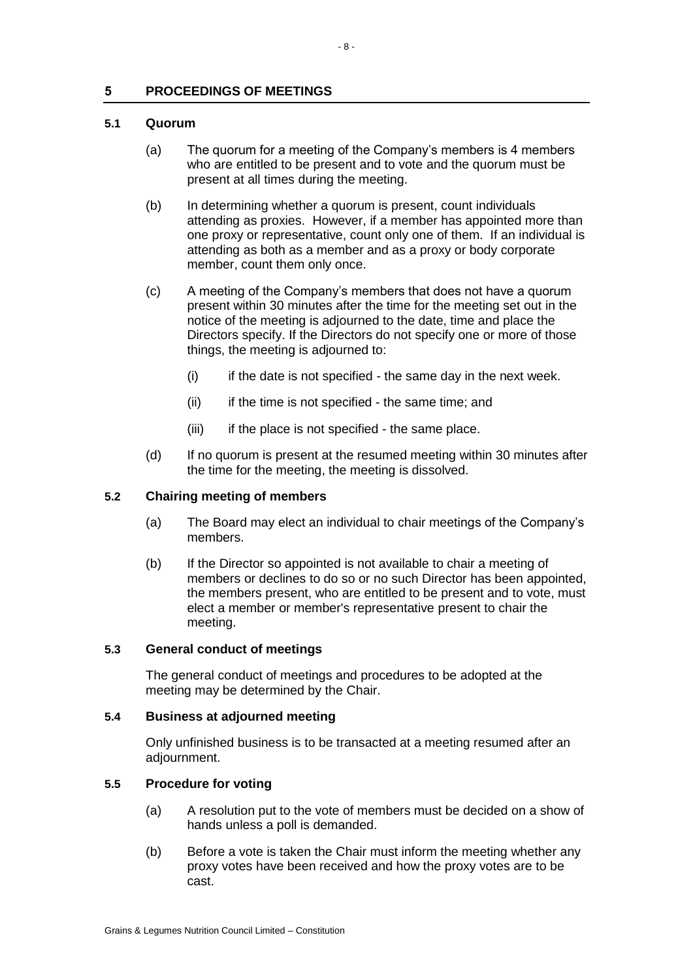# <span id="page-10-0"></span>**5 PROCEEDINGS OF MEETINGS**

## <span id="page-10-1"></span>**5.1 Quorum**

- (a) The quorum for a meeting of the Company's members is 4 members who are entitled to be present and to vote and the quorum must be present at all times during the meeting.
- (b) In determining whether a quorum is present, count individuals attending as proxies. However, if a member has appointed more than one proxy or representative, count only one of them. If an individual is attending as both as a member and as a proxy or body corporate member, count them only once.
- (c) A meeting of the Company's members that does not have a quorum present within 30 minutes after the time for the meeting set out in the notice of the meeting is adjourned to the date, time and place the Directors specify. If the Directors do not specify one or more of those things, the meeting is adjourned to:
	- $(i)$  if the date is not specified the same day in the next week.
	- (ii) if the time is not specified the same time; and
	- (iii) if the place is not specified the same place.
- (d) If no quorum is present at the resumed meeting within 30 minutes after the time for the meeting, the meeting is dissolved.

## <span id="page-10-2"></span>**5.2 Chairing meeting of members**

- (a) The Board may elect an individual to chair meetings of the Company's members.
- (b) If the Director so appointed is not available to chair a meeting of members or declines to do so or no such Director has been appointed, the members present, who are entitled to be present and to vote, must elect a member or member's representative present to chair the meeting.

## <span id="page-10-3"></span>**5.3 General conduct of meetings**

The general conduct of meetings and procedures to be adopted at the meeting may be determined by the Chair.

## <span id="page-10-4"></span>**5.4 Business at adjourned meeting**

Only unfinished business is to be transacted at a meeting resumed after an adjournment.

# <span id="page-10-5"></span>**5.5 Procedure for voting**

- (a) A resolution put to the vote of members must be decided on a show of hands unless a poll is demanded.
- (b) Before a vote is taken the Chair must inform the meeting whether any proxy votes have been received and how the proxy votes are to be cast.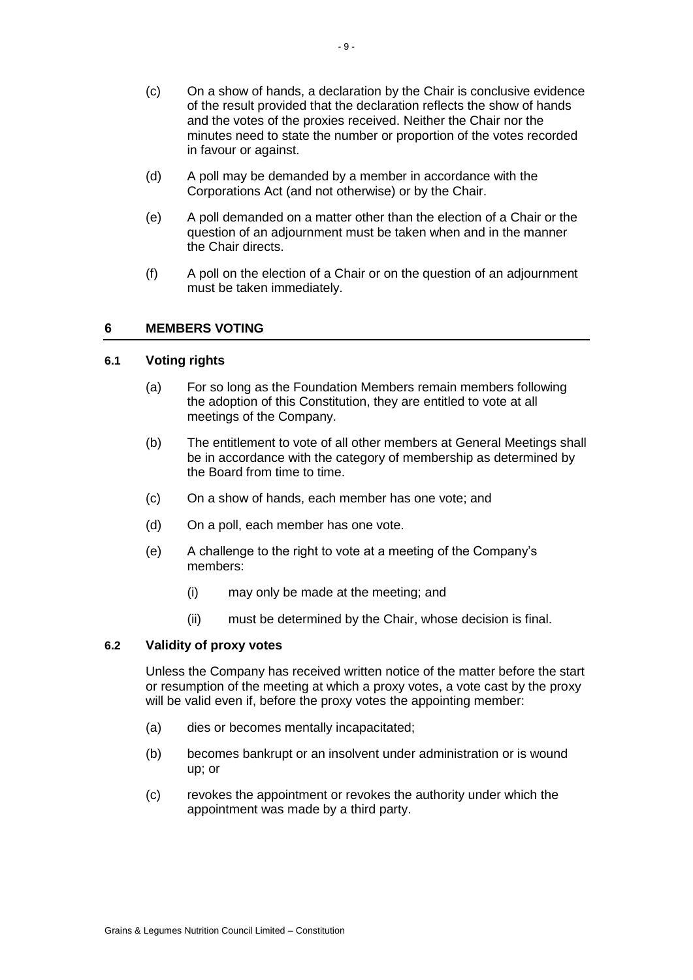- (c) On a show of hands, a declaration by the Chair is conclusive evidence of the result provided that the declaration reflects the show of hands and the votes of the proxies received. Neither the Chair nor the minutes need to state the number or proportion of the votes recorded in favour or against.
- (d) A poll may be demanded by a member in accordance with the Corporations Act (and not otherwise) or by the Chair.
- (e) A poll demanded on a matter other than the election of a Chair or the question of an adjournment must be taken when and in the manner the Chair directs.
- (f) A poll on the election of a Chair or on the question of an adjournment must be taken immediately.

## <span id="page-11-0"></span>**6 MEMBERS VOTING**

## <span id="page-11-1"></span>**6.1 Voting rights**

- (a) For so long as the Foundation Members remain members following the adoption of this Constitution, they are entitled to vote at all meetings of the Company.
- (b) The entitlement to vote of all other members at General Meetings shall be in accordance with the category of membership as determined by the Board from time to time.
- (c) On a show of hands, each member has one vote; and
- (d) On a poll, each member has one vote.
- (e) A challenge to the right to vote at a meeting of the Company's members:
	- (i) may only be made at the meeting; and
	- (ii) must be determined by the Chair, whose decision is final.

## <span id="page-11-2"></span>**6.2 Validity of proxy votes**

Unless the Company has received written notice of the matter before the start or resumption of the meeting at which a proxy votes, a vote cast by the proxy will be valid even if, before the proxy votes the appointing member:

- (a) dies or becomes mentally incapacitated;
- (b) becomes bankrupt or an insolvent under administration or is wound up; or
- (c) revokes the appointment or revokes the authority under which the appointment was made by a third party.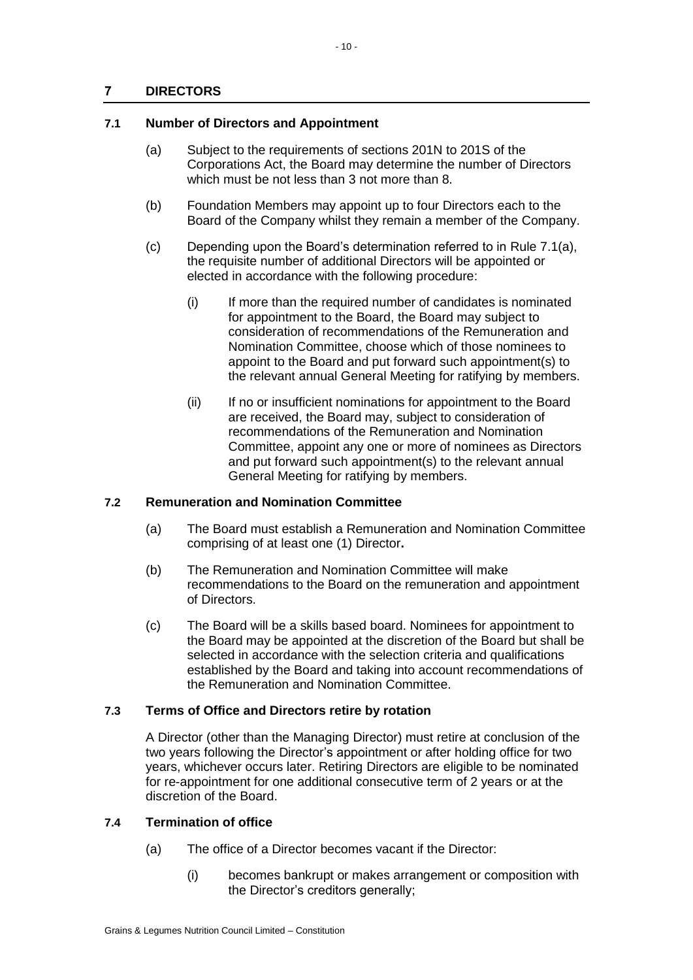# <span id="page-12-0"></span>**7 DIRECTORS**

# <span id="page-12-5"></span><span id="page-12-1"></span>**7.1 Number of Directors and Appointment**

- (a) Subject to the requirements of sections 201N to 201S of the Corporations Act, the Board may determine the number of Directors which must be not less than 3 not more than 8.
- (b) Foundation Members may appoint up to four Directors each to the Board of the Company whilst they remain a member of the Company.
- (c) Depending upon the Board's determination referred to in Rule [7.1\(a\),](#page-12-5) the requisite number of additional Directors will be appointed or elected in accordance with the following procedure:
	- (i) If more than the required number of candidates is nominated for appointment to the Board, the Board may subject to consideration of recommendations of the Remuneration and Nomination Committee, choose which of those nominees to appoint to the Board and put forward such appointment(s) to the relevant annual General Meeting for ratifying by members.
	- (ii) If no or insufficient nominations for appointment to the Board are received, the Board may, subject to consideration of recommendations of the Remuneration and Nomination Committee, appoint any one or more of nominees as Directors and put forward such appointment(s) to the relevant annual General Meeting for ratifying by members.

# <span id="page-12-2"></span>**7.2 Remuneration and Nomination Committee**

- (a) The Board must establish a Remuneration and Nomination Committee comprising of at least one (1) Director**.**
- (b) The Remuneration and Nomination Committee will make recommendations to the Board on the remuneration and appointment of Directors.
- (c) The Board will be a skills based board. Nominees for appointment to the Board may be appointed at the discretion of the Board but shall be selected in accordance with the selection criteria and qualifications established by the Board and taking into account recommendations of the Remuneration and Nomination Committee.

# <span id="page-12-3"></span>**7.3 Terms of Office and Directors retire by rotation**

A Director (other than the Managing Director) must retire at conclusion of the two years following the Director's appointment or after holding office for two years, whichever occurs later. Retiring Directors are eligible to be nominated for re-appointment for one additional consecutive term of 2 years or at the discretion of the Board.

# <span id="page-12-4"></span>**7.4 Termination of office**

- (a) The office of a Director becomes vacant if the Director:
	- (i) becomes bankrupt or makes arrangement or composition with the Director's creditors generally;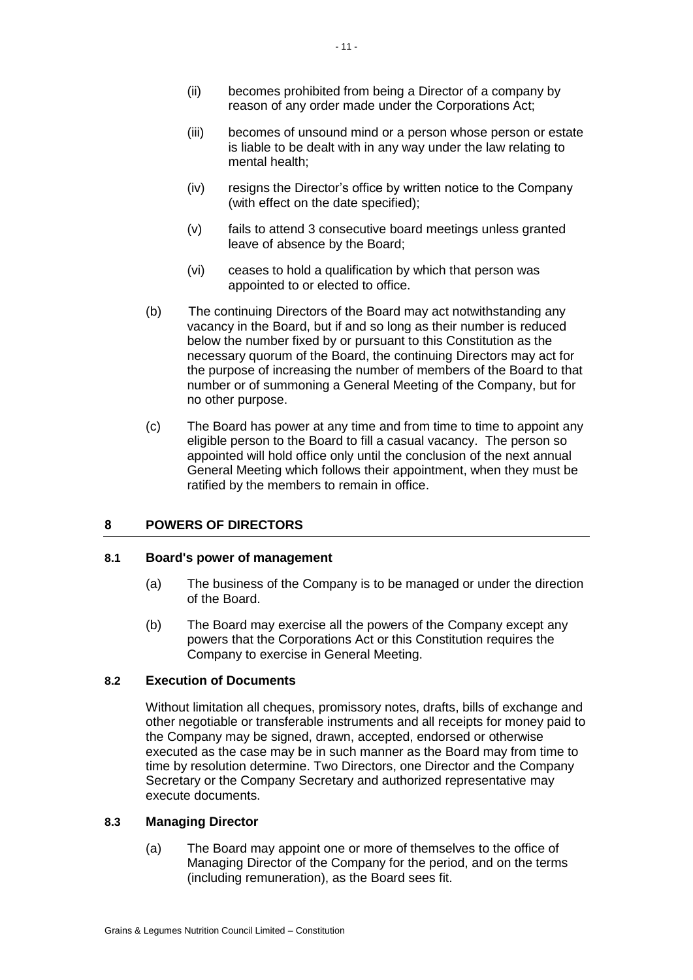- (ii) becomes prohibited from being a Director of a company by reason of any order made under the Corporations Act;
- (iii) becomes of unsound mind or a person whose person or estate is liable to be dealt with in any way under the law relating to mental health;
- (iv) resigns the Director's office by written notice to the Company (with effect on the date specified);
- (v) fails to attend 3 consecutive board meetings unless granted leave of absence by the Board;
- (vi) ceases to hold a qualification by which that person was appointed to or elected to office.
- (b) The continuing Directors of the Board may act notwithstanding any vacancy in the Board, but if and so long as their number is reduced below the number fixed by or pursuant to this Constitution as the necessary quorum of the Board, the continuing Directors may act for the purpose of increasing the number of members of the Board to that number or of summoning a General Meeting of the Company, but for no other purpose.
- (c) The Board has power at any time and from time to time to appoint any eligible person to the Board to fill a casual vacancy. The person so appointed will hold office only until the conclusion of the next annual General Meeting which follows their appointment, when they must be ratified by the members to remain in office.

# <span id="page-13-0"></span>**8 POWERS OF DIRECTORS**

## <span id="page-13-1"></span>**8.1 Board's power of management**

- (a) The business of the Company is to be managed or under the direction of the Board.
- (b) The Board may exercise all the powers of the Company except any powers that the Corporations Act or this Constitution requires the Company to exercise in General Meeting.

# <span id="page-13-2"></span>**8.2 Execution of Documents**

Without limitation all cheques, promissory notes, drafts, bills of exchange and other negotiable or transferable instruments and all receipts for money paid to the Company may be signed, drawn, accepted, endorsed or otherwise executed as the case may be in such manner as the Board may from time to time by resolution determine. Two Directors, one Director and the Company Secretary or the Company Secretary and authorized representative may execute documents.

## <span id="page-13-3"></span>**8.3 Managing Director**

(a) The Board may appoint one or more of themselves to the office of Managing Director of the Company for the period, and on the terms (including remuneration), as the Board sees fit.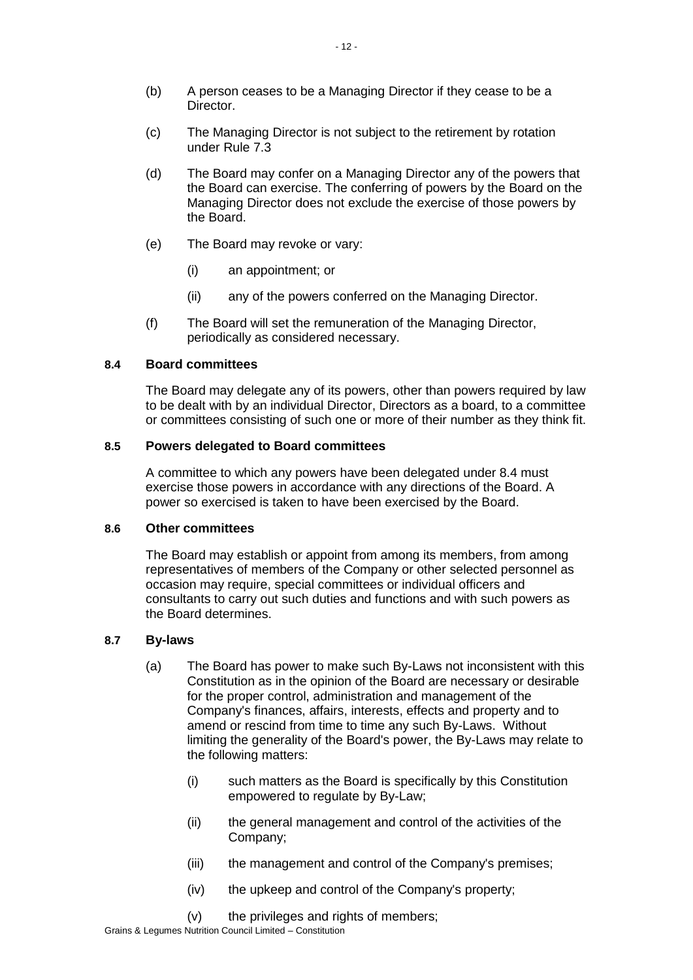- (b) A person ceases to be a Managing Director if they cease to be a **Director**
- (c) The Managing Director is not subject to the retirement by rotation under Rule [7.3](#page-12-3)
- (d) The Board may confer on a Managing Director any of the powers that the Board can exercise. The conferring of powers by the Board on the Managing Director does not exclude the exercise of those powers by the Board.
- (e) The Board may revoke or vary:
	- (i) an appointment; or
	- (ii) any of the powers conferred on the Managing Director.
- (f) The Board will set the remuneration of the Managing Director, periodically as considered necessary.

# <span id="page-14-0"></span>**8.4 Board committees**

The Board may delegate any of its powers, other than powers required by law to be dealt with by an individual Director, Directors as a board, to a committee or committees consisting of such one or more of their number as they think fit.

## <span id="page-14-1"></span>**8.5 Powers delegated to Board committees**

A committee to which any powers have been delegated under 8.4 must exercise those powers in accordance with any directions of the Board. A power so exercised is taken to have been exercised by the Board.

## <span id="page-14-2"></span>**8.6 Other committees**

The Board may establish or appoint from among its members, from among representatives of members of the Company or other selected personnel as occasion may require, special committees or individual officers and consultants to carry out such duties and functions and with such powers as the Board determines.

## <span id="page-14-3"></span>**8.7 By-laws**

- (a) The Board has power to make such By-Laws not inconsistent with this Constitution as in the opinion of the Board are necessary or desirable for the proper control, administration and management of the Company's finances, affairs, interests, effects and property and to amend or rescind from time to time any such By-Laws. Without limiting the generality of the Board's power, the By-Laws may relate to the following matters:
	- (i) such matters as the Board is specifically by this Constitution empowered to regulate by By-Law;
	- (ii) the general management and control of the activities of the Company;
	- (iii) the management and control of the Company's premises;
	- (iv) the upkeep and control of the Company's property;
	- (v) the privileges and rights of members;

Grains & Legumes Nutrition Council Limited – Constitution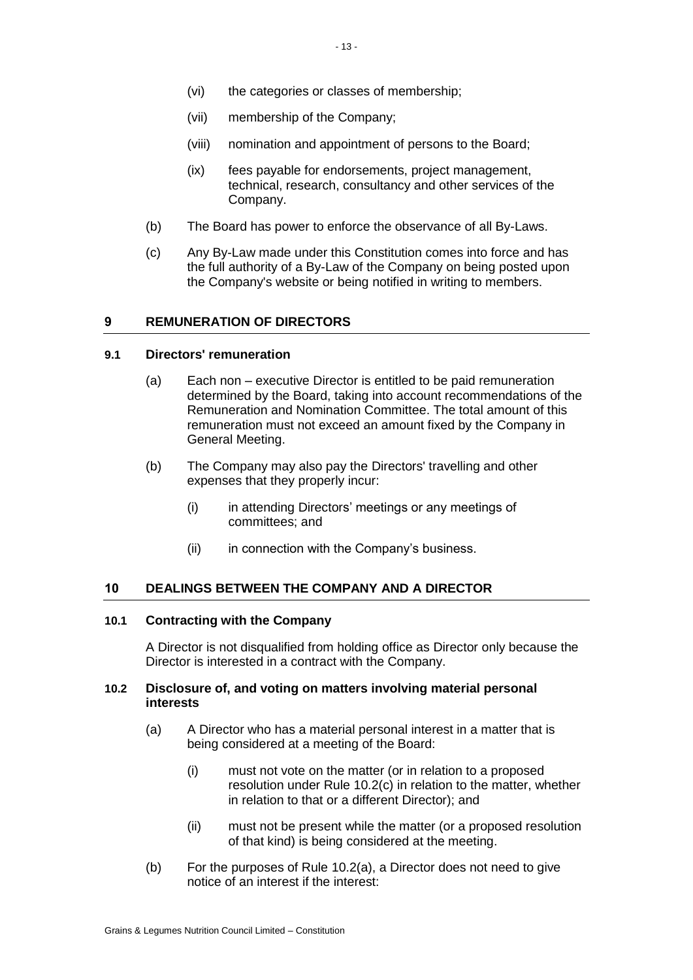- (vi) the categories or classes of membership;
- (vii) membership of the Company;
- (viii) nomination and appointment of persons to the Board;
- (ix) fees payable for endorsements, project management, technical, research, consultancy and other services of the Company.
- (b) The Board has power to enforce the observance of all By-Laws.
- (c) Any By-Law made under this Constitution comes into force and has the full authority of a By-Law of the Company on being posted upon the Company's website or being notified in writing to members.

## <span id="page-15-0"></span>**9 REMUNERATION OF DIRECTORS**

#### <span id="page-15-1"></span>**9.1 Directors' remuneration**

- (a) Each non executive Director is entitled to be paid remuneration determined by the Board, taking into account recommendations of the Remuneration and Nomination Committee. The total amount of this remuneration must not exceed an amount fixed by the Company in General Meeting.
- (b) The Company may also pay the Directors' travelling and other expenses that they properly incur:
	- (i) in attending Directors' meetings or any meetings of committees; and
	- (ii) in connection with the Company's business.

#### <span id="page-15-2"></span>**10 DEALINGS BETWEEN THE COMPANY AND A DIRECTOR**

#### <span id="page-15-3"></span>**10.1 Contracting with the Company**

A Director is not disqualified from holding office as Director only because the Director is interested in a contract with the Company.

## <span id="page-15-5"></span><span id="page-15-4"></span>**10.2 Disclosure of, and voting on matters involving material personal interests**

- (a) A Director who has a material personal interest in a matter that is being considered at a meeting of the Board:
	- (i) must not vote on the matter (or in relation to a proposed resolution under Rule [10.2\(c\)](#page-16-4) in relation to the matter, whether in relation to that or a different Director); and
	- (ii) must not be present while the matter (or a proposed resolution of that kind) is being considered at the meeting.
- (b) For the purposes of Rule [10.2\(a\),](#page-15-5) a Director does not need to give notice of an interest if the interest: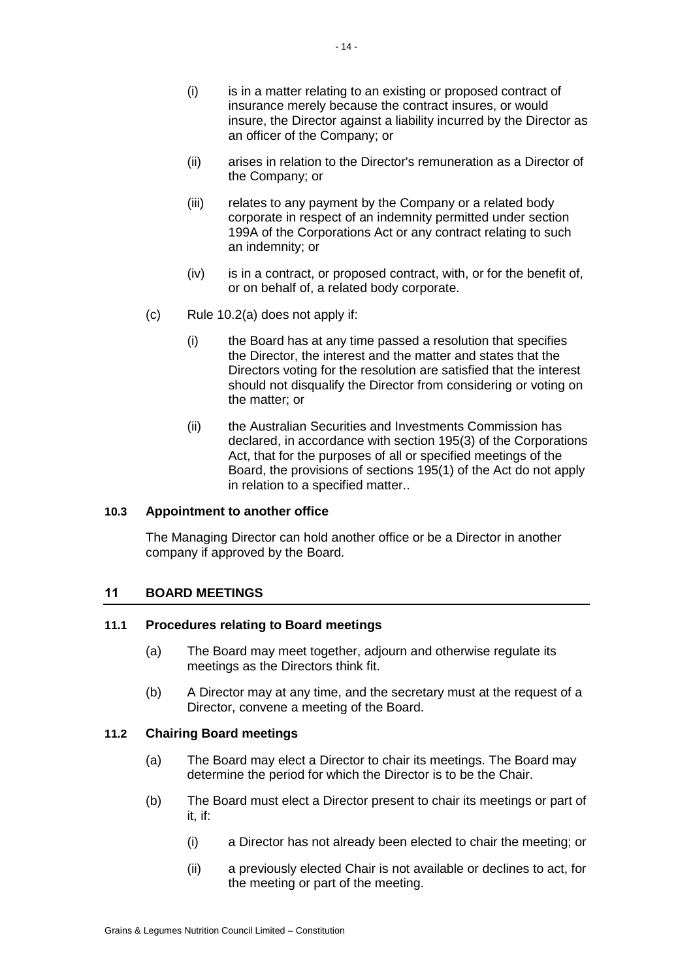- (i) is in a matter relating to an existing or proposed contract of insurance merely because the contract insures, or would insure, the Director against a liability incurred by the Director as an officer of the Company; or
- (ii) arises in relation to the Director's remuneration as a Director of the Company; or
- (iii) relates to any payment by the Company or a related body corporate in respect of an indemnity permitted under section 199A of the Corporations Act or any contract relating to such an indemnity; or
- (iv) is in a contract, or proposed contract, with, or for the benefit of, or on behalf of, a related body corporate.
- <span id="page-16-4"></span>(c) Rule [10.2\(a\)](#page-15-5) does not apply if:
	- (i) the Board has at any time passed a resolution that specifies the Director, the interest and the matter and states that the Directors voting for the resolution are satisfied that the interest should not disqualify the Director from considering or voting on the matter; or
	- (ii) the Australian Securities and Investments Commission has declared, in accordance with section 195(3) of the Corporations Act, that for the purposes of all or specified meetings of the Board, the provisions of sections 195(1) of the Act do not apply in relation to a specified matter..

## <span id="page-16-0"></span>**10.3 Appointment to another office**

The Managing Director can hold another office or be a Director in another company if approved by the Board.

# <span id="page-16-1"></span>**11 BOARD MEETINGS**

## <span id="page-16-2"></span>**11.1 Procedures relating to Board meetings**

- (a) The Board may meet together, adjourn and otherwise regulate its meetings as the Directors think fit.
- (b) A Director may at any time, and the secretary must at the request of a Director, convene a meeting of the Board.

## <span id="page-16-3"></span>**11.2 Chairing Board meetings**

- (a) The Board may elect a Director to chair its meetings. The Board may determine the period for which the Director is to be the Chair.
- (b) The Board must elect a Director present to chair its meetings or part of it, if:
	- (i) a Director has not already been elected to chair the meeting; or
	- (ii) a previously elected Chair is not available or declines to act, for the meeting or part of the meeting.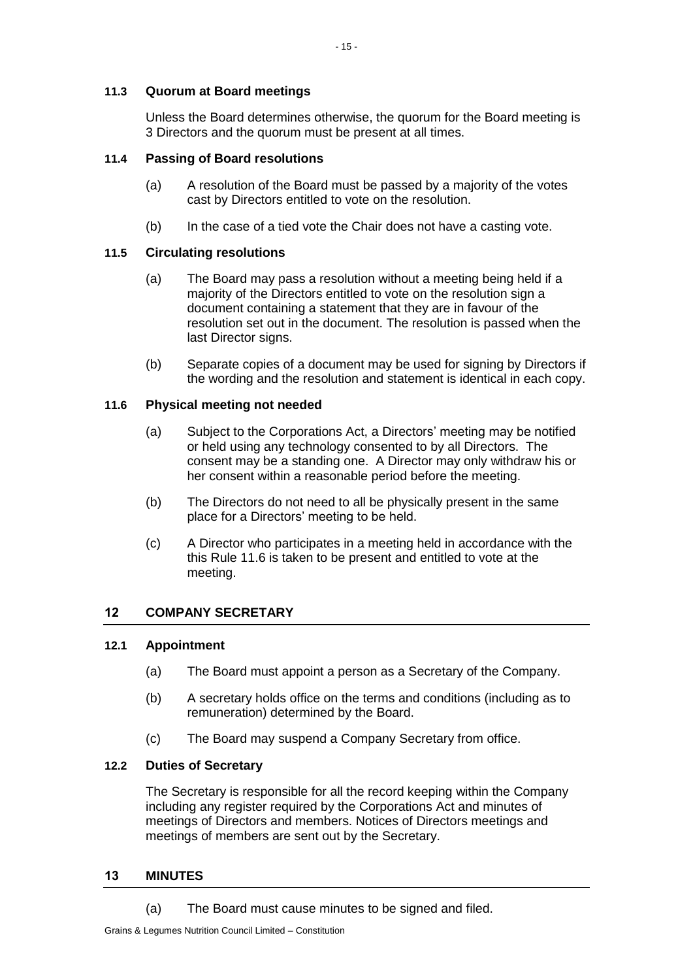# <span id="page-17-0"></span>**11.3 Quorum at Board meetings**

Unless the Board determines otherwise, the quorum for the Board meeting is 3 Directors and the quorum must be present at all times.

# <span id="page-17-1"></span>**11.4 Passing of Board resolutions**

- (a) A resolution of the Board must be passed by a majority of the votes cast by Directors entitled to vote on the resolution.
- (b) In the case of a tied vote the Chair does not have a casting vote.

# <span id="page-17-2"></span>**11.5 Circulating resolutions**

- (a) The Board may pass a resolution without a meeting being held if a majority of the Directors entitled to vote on the resolution sign a document containing a statement that they are in favour of the resolution set out in the document. The resolution is passed when the last Director signs.
- (b) Separate copies of a document may be used for signing by Directors if the wording and the resolution and statement is identical in each copy.

## <span id="page-17-3"></span>**11.6 Physical meeting not needed**

- (a) Subject to the Corporations Act, a Directors' meeting may be notified or held using any technology consented to by all Directors. The consent may be a standing one. A Director may only withdraw his or her consent within a reasonable period before the meeting.
- (b) The Directors do not need to all be physically present in the same place for a Directors' meeting to be held.
- (c) A Director who participates in a meeting held in accordance with the this Rule [11.6](#page-17-3) is taken to be present and entitled to vote at the meeting.

# <span id="page-17-4"></span>**12 COMPANY SECRETARY**

## <span id="page-17-5"></span>**12.1 Appointment**

- (a) The Board must appoint a person as a Secretary of the Company.
- (b) A secretary holds office on the terms and conditions (including as to remuneration) determined by the Board.
- (c) The Board may suspend a Company Secretary from office.

## <span id="page-17-6"></span>**12.2 Duties of Secretary**

The Secretary is responsible for all the record keeping within the Company including any register required by the Corporations Act and minutes of meetings of Directors and members. Notices of Directors meetings and meetings of members are sent out by the Secretary.

## <span id="page-17-7"></span>**13 MINUTES**

(a) The Board must cause minutes to be signed and filed.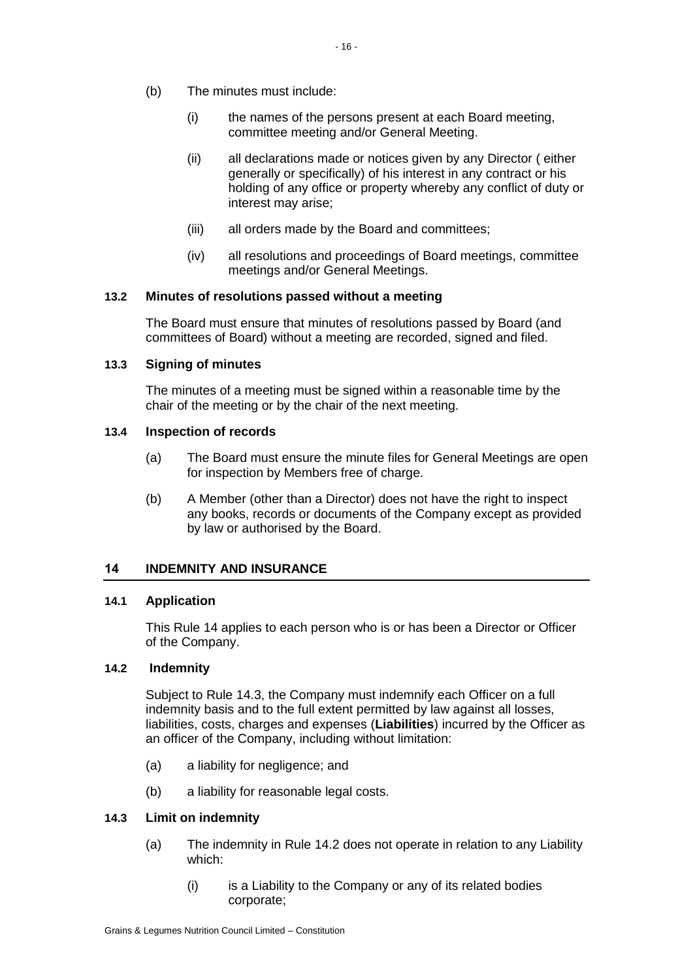- (b) The minutes must include:
	- (i) the names of the persons present at each Board meeting, committee meeting and/or General Meeting.
	- (ii) all declarations made or notices given by any Director ( either generally or specifically) of his interest in any contract or his holding of any office or property whereby any conflict of duty or interest may arise;
	- (iii) all orders made by the Board and committees;
	- (iv) all resolutions and proceedings of Board meetings, committee meetings and/or General Meetings.

## <span id="page-18-0"></span>**13.2 Minutes of resolutions passed without a meeting**

The Board must ensure that minutes of resolutions passed by Board (and committees of Board) without a meeting are recorded, signed and filed.

## <span id="page-18-1"></span>**13.3 Signing of minutes**

The minutes of a meeting must be signed within a reasonable time by the chair of the meeting or by the chair of the next meeting.

## <span id="page-18-2"></span>**13.4 Inspection of records**

- (a) The Board must ensure the minute files for General Meetings are open for inspection by Members free of charge.
- (b) A Member (other than a Director) does not have the right to inspect any books, records or documents of the Company except as provided by law or authorised by the Board.

# <span id="page-18-3"></span>**14 INDEMNITY AND INSURANCE**

## <span id="page-18-4"></span>**14.1 Application**

This Rule [14](#page-18-3) applies to each person who is or has been a Director or Officer of the Company.

## **14.2 Indemnity**

<span id="page-18-5"></span>Subject to Rule [14.3,](#page-18-6) the Company must indemnify each Officer on a full indemnity basis and to the full extent permitted by law against all losses, liabilities, costs, charges and expenses (**Liabilities**) incurred by the Officer as an officer of the Company, including without limitation:

- (a) a liability for negligence; and
- (b) a liability for reasonable legal costs.

## <span id="page-18-7"></span><span id="page-18-6"></span>**14.3 Limit on indemnity**

- (a) The indemnity in Rule [14.2](#page-18-5) does not operate in relation to any Liability which:
	- $(i)$  is a Liability to the Company or any of its related bodies corporate;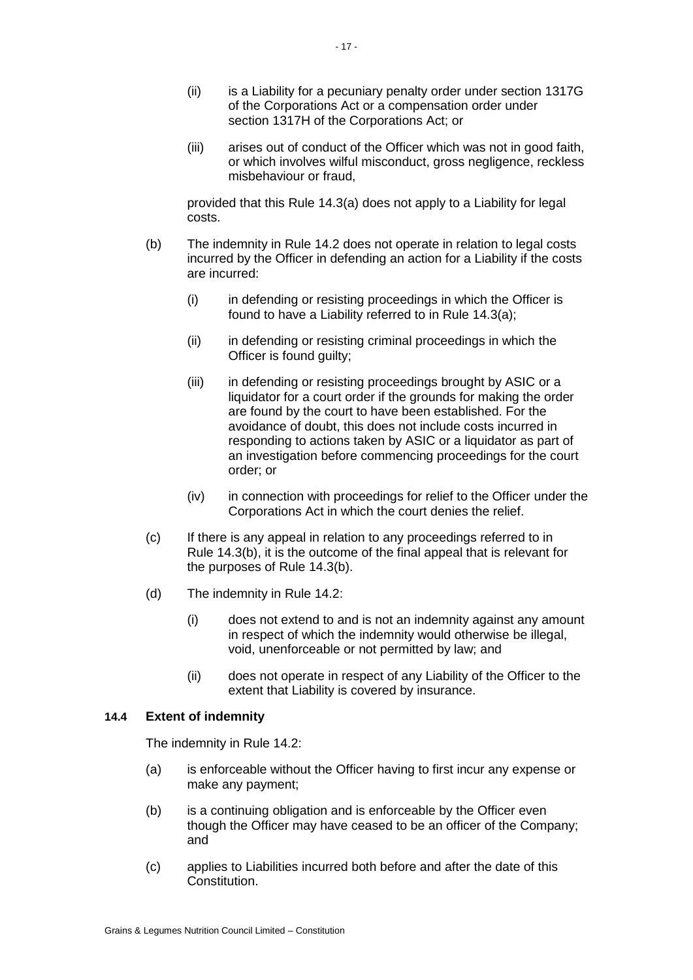- (ii) is a Liability for a pecuniary penalty order under section 1317G of the Corporations Act or a compensation order under section 1317H of the Corporations Act; or
- (iii) arises out of conduct of the Officer which was not in good faith, or which involves wilful misconduct, gross negligence, reckless misbehaviour or fraud,

provided that this Rule [14.3\(a\)](#page-18-7) does not apply to a Liability for legal costs.

- <span id="page-19-1"></span>(b) The indemnity in Rule [14.2](#page-18-5) does not operate in relation to legal costs incurred by the Officer in defending an action for a Liability if the costs are incurred:
	- (i) in defending or resisting proceedings in which the Officer is found to have a Liability referred to in Rule [14.3\(a\);](#page-18-7)
	- (ii) in defending or resisting criminal proceedings in which the Officer is found guilty;
	- (iii) in defending or resisting proceedings brought by ASIC or a liquidator for a court order if the grounds for making the order are found by the court to have been established. For the avoidance of doubt, this does not include costs incurred in responding to actions taken by ASIC or a liquidator as part of an investigation before commencing proceedings for the court order; or
	- (iv) in connection with proceedings for relief to the Officer under the Corporations Act in which the court denies the relief.
- (c) If there is any appeal in relation to any proceedings referred to in Rule [14.3\(b\),](#page-19-1) it is the outcome of the final appeal that is relevant for the purposes of Rule [14.3\(b\).](#page-19-1)
- (d) The indemnity in Rule [14.2:](#page-18-5)
	- (i) does not extend to and is not an indemnity against any amount in respect of which the indemnity would otherwise be illegal, void, unenforceable or not permitted by law; and
	- (ii) does not operate in respect of any Liability of the Officer to the extent that Liability is covered by insurance.

## <span id="page-19-0"></span>**14.4 Extent of indemnity**

The indemnity in Rule [14.2:](#page-18-5)

- (a) is enforceable without the Officer having to first incur any expense or make any payment;
- (b) is a continuing obligation and is enforceable by the Officer even though the Officer may have ceased to be an officer of the Company; and
- (c) applies to Liabilities incurred both before and after the date of this Constitution.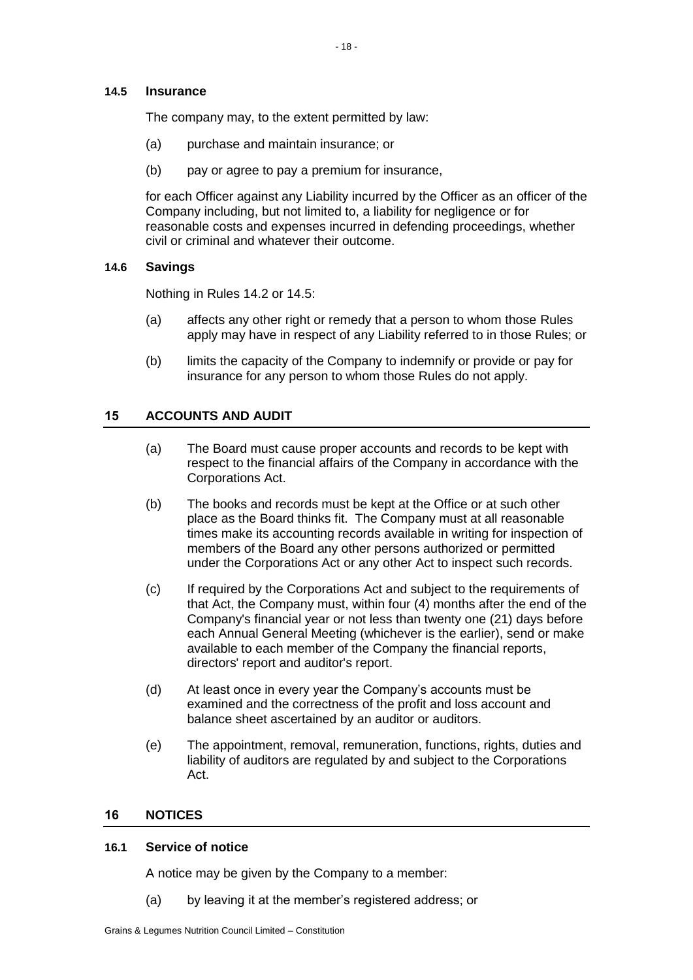## <span id="page-20-0"></span>**14.5 Insurance**

The company may, to the extent permitted by law:

- (a) purchase and maintain insurance; or
- (b) pay or agree to pay a premium for insurance,

for each Officer against any Liability incurred by the Officer as an officer of the Company including, but not limited to, a liability for negligence or for reasonable costs and expenses incurred in defending proceedings, whether civil or criminal and whatever their outcome.

## <span id="page-20-1"></span>**14.6 Savings**

Nothing in Rules [14.2](#page-18-5) or [14.5:](#page-20-0)

- (a) affects any other right or remedy that a person to whom those Rules apply may have in respect of any Liability referred to in those Rules; or
- (b) limits the capacity of the Company to indemnify or provide or pay for insurance for any person to whom those Rules do not apply.

# <span id="page-20-2"></span>**15 ACCOUNTS AND AUDIT**

- (a) The Board must cause proper accounts and records to be kept with respect to the financial affairs of the Company in accordance with the Corporations Act.
- (b) The books and records must be kept at the Office or at such other place as the Board thinks fit. The Company must at all reasonable times make its accounting records available in writing for inspection of members of the Board any other persons authorized or permitted under the Corporations Act or any other Act to inspect such records.
- (c) If required by the Corporations Act and subject to the requirements of that Act, the Company must, within four (4) months after the end of the Company's financial year or not less than twenty one (21) days before each Annual General Meeting (whichever is the earlier), send or make available to each member of the Company the financial reports, directors' report and auditor's report.
- (d) At least once in every year the Company's accounts must be examined and the correctness of the profit and loss account and balance sheet ascertained by an auditor or auditors.
- (e) The appointment, removal, remuneration, functions, rights, duties and liability of auditors are regulated by and subject to the Corporations Act.

## <span id="page-20-3"></span>**16 NOTICES**

## <span id="page-20-4"></span>**16.1 Service of notice**

A notice may be given by the Company to a member:

(a) by leaving it at the member's registered address; or